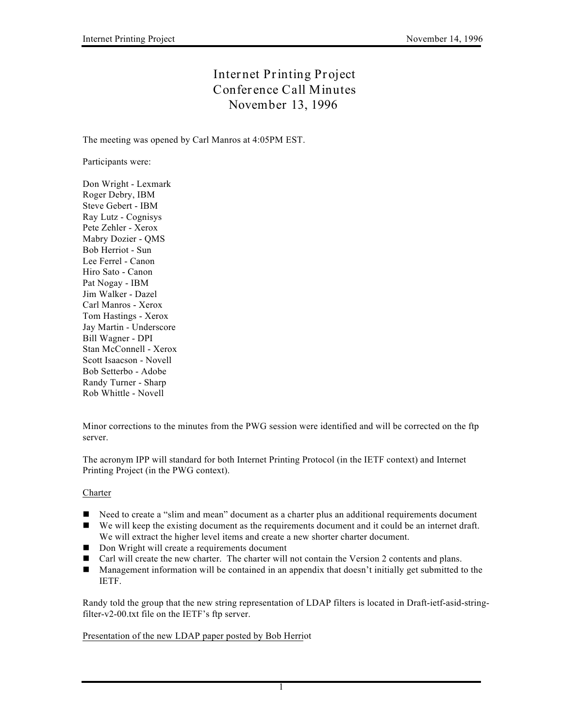## **Internet Printing Project Conference Call Minutes November 13, 1996**

The meeting was opened by Carl Manros at 4:05PM EST.

Participants were:

Don Wright - Lexmark Roger Debry, IBM Steve Gebert - IBM Ray Lutz - Cognisys Pete Zehler - Xerox Mabry Dozier - QMS Bob Herriot - Sun Lee Ferrel - Canon Hiro Sato - Canon Pat Nogay - IBM Jim Walker - Dazel Carl Manros - Xerox Tom Hastings - Xerox Jay Martin - Underscore Bill Wagner - DPI Stan McConnell - Xerox Scott Isaacson - Novell Bob Setterbo - Adobe Randy Turner - Sharp Rob Whittle - Novell

Minor corrections to the minutes from the PWG session were identified and will be corrected on the ftp server.

The acronym IPP will standard for both Internet Printing Protocol (in the IETF context) and Internet Printing Project (in the PWG context).

## Charter

- Need to create a "slim and mean" document as a charter plus an additional requirements document
- n We will keep the existing document as the requirements document and it could be an internet draft. We will extract the higher level items and create a new shorter charter document.
- $\Box$  Don Wright will create a requirements document
- Carl will create the new charter. The charter will not contain the Version 2 contents and plans.
- Management information will be contained in an appendix that doesn't initially get submitted to the IETF.

Randy told the group that the new string representation of LDAP filters is located in Draft-ietf-asid-stringfilter-v2-00.txt file on the IETF's ftp server.

Presentation of the new LDAP paper posted by Bob Herriot